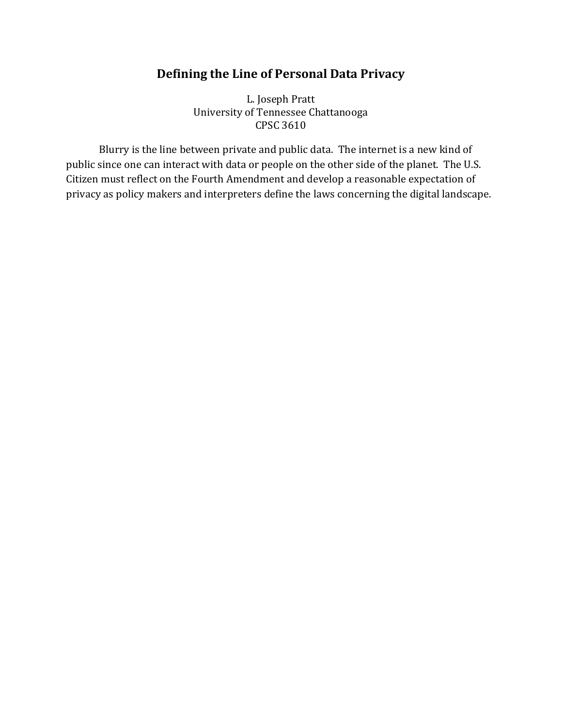# **Defining the Line of Personal Data Privacy**

L. Joseph Pratt University of Tennessee Chattanooga CPSC 3610

Blurry is the line between private and public data. The internet is a new kind of public since one can interact with data or people on the other side of the planet. The U.S. Citizen must reflect on the Fourth Amendment and develop a reasonable expectation of privacy as policy makers and interpreters define the laws concerning the digital landscape.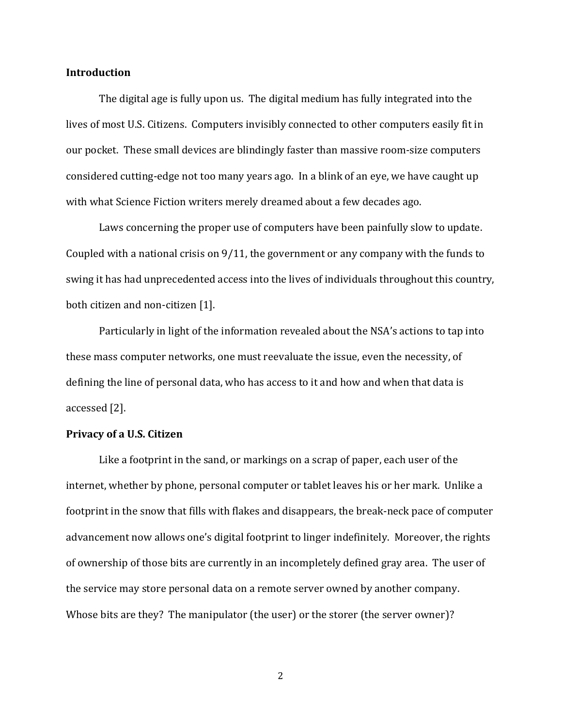#### **Introduction**

The digital age is fully upon us. The digital medium has fully integrated into the lives of most U.S. Citizens. Computers invisibly connected to other computers easily fit in our pocket. These small devices are blindingly faster than massive room-size computers considered cutting-edge not too many years ago. In a blink of an eye, we have caught up with what Science Fiction writers merely dreamed about a few decades ago.

Laws concerning the proper use of computers have been painfully slow to update. Coupled with a national crisis on 9/11, the government or any company with the funds to swing it has had unprecedented access into the lives of individuals throughout this country, both citizen and non-citizen [1].

Particularly in light of the information revealed about the NSA's actions to tap into these mass computer networks, one must reevaluate the issue, even the necessity, of defining the line of personal data, who has access to it and how and when that data is accessed [2].

# **Privacy of a U.S. Citizen**

Like a footprint in the sand, or markings on a scrap of paper, each user of the internet, whether by phone, personal computer or tablet leaves his or her mark. Unlike a footprint in the snow that fills with flakes and disappears, the break-neck pace of computer advancement now allows one's digital footprint to linger indefinitely. Moreover, the rights of ownership of those bits are currently in an incompletely defined gray area. The user of the service may store personal data on a remote server owned by another company. Whose bits are they? The manipulator (the user) or the storer (the server owner)?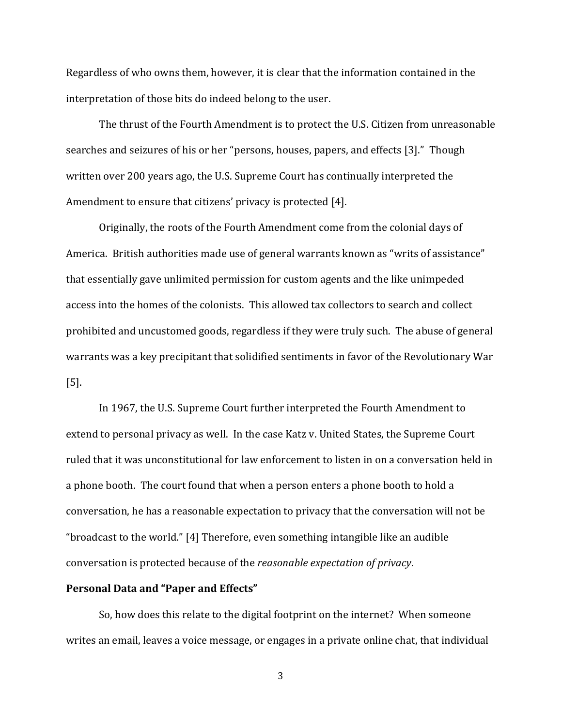Regardless of who owns them, however, it is clear that the information contained in the interpretation of those bits do indeed belong to the user.

The thrust of the Fourth Amendment is to protect the U.S. Citizen from unreasonable searches and seizures of his or her "persons, houses, papers, and effects [3]." Though written over 200 years ago, the U.S. Supreme Court has continually interpreted the Amendment to ensure that citizens' privacy is protected [4].

Originally, the roots of the Fourth Amendment come from the colonial days of America. British authorities made use of general warrants known as "writs of assistance" that essentially gave unlimited permission for custom agents and the like unimpeded access into the homes of the colonists. This allowed tax collectors to search and collect prohibited and uncustomed goods, regardless if they were truly such. The abuse of general warrants was a key precipitant that solidified sentiments in favor of the Revolutionary War [5].

In 1967, the U.S. Supreme Court further interpreted the Fourth Amendment to extend to personal privacy as well. In the case Katz v. United States, the Supreme Court ruled that it was unconstitutional for law enforcement to listen in on a conversation held in a phone booth. The court found that when a person enters a phone booth to hold a conversation, he has a reasonable expectation to privacy that the conversation will not be "broadcast to the world." [4] Therefore, even something intangible like an audible conversation is protected because of the *reasonable expectation of privacy*.

#### **Personal Data and "Paper and Effects"**

So, how does this relate to the digital footprint on the internet? When someone writes an email, leaves a voice message, or engages in a private online chat, that individual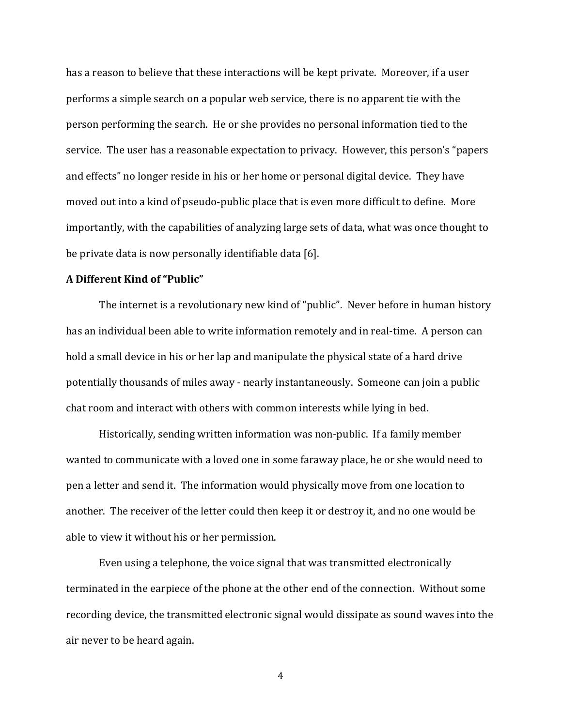has a reason to believe that these interactions will be kept private. Moreover, if a user performs a simple search on a popular web service, there is no apparent tie with the person performing the search. He or she provides no personal information tied to the service. The user has a reasonable expectation to privacy. However, this person's "papers and effects" no longer reside in his or her home or personal digital device. They have moved out into a kind of pseudo-public place that is even more difficult to define. More importantly, with the capabilities of analyzing large sets of data, what was once thought to be private data is now personally identifiable data [6].

### **A Different Kind of "Public"**

The internet is a revolutionary new kind of "public". Never before in human history has an individual been able to write information remotely and in real-time. A person can hold a small device in his or her lap and manipulate the physical state of a hard drive potentially thousands of miles away - nearly instantaneously. Someone can join a public chat room and interact with others with common interests while lying in bed.

Historically, sending written information was non-public. If a family member wanted to communicate with a loved one in some faraway place, he or she would need to pen a letter and send it. The information would physically move from one location to another. The receiver of the letter could then keep it or destroy it, and no one would be able to view it without his or her permission.

Even using a telephone, the voice signal that was transmitted electronically terminated in the earpiece of the phone at the other end of the connection. Without some recording device, the transmitted electronic signal would dissipate as sound waves into the air never to be heard again.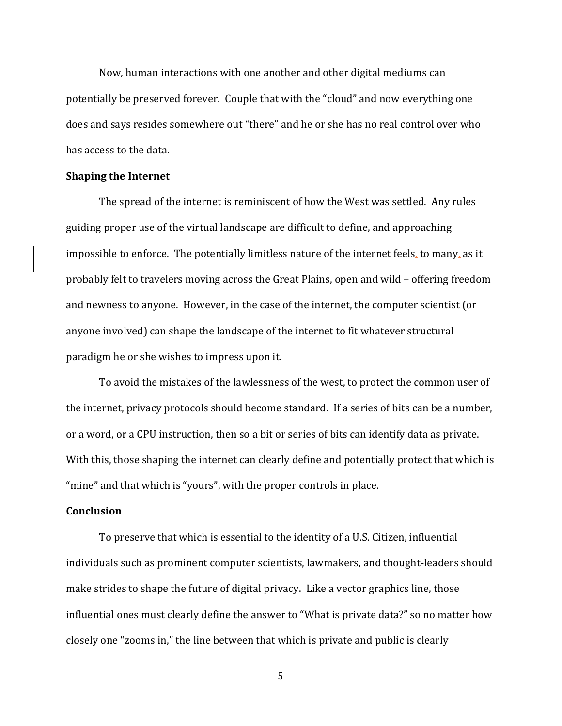Now, human interactions with one another and other digital mediums can potentially be preserved forever. Couple that with the "cloud" and now everything one does and says resides somewhere out "there" and he or she has no real control over who has access to the data.

#### **Shaping the Internet**

The spread of the internet is reminiscent of how the West was settled. Any rules guiding proper use of the virtual landscape are difficult to define, and approaching impossible to enforce. The potentially limitless nature of the internet feels, to many, as it probably felt to travelers moving across the Great Plains, open and wild – offering freedom and newness to anyone. However, in the case of the internet, the computer scientist (or anyone involved) can shape the landscape of the internet to fit whatever structural paradigm he or she wishes to impress upon it.

To avoid the mistakes of the lawlessness of the west, to protect the common user of the internet, privacy protocols should become standard. If a series of bits can be a number, or a word, or a CPU instruction, then so a bit or series of bits can identify data as private. With this, those shaping the internet can clearly define and potentially protect that which is "mine" and that which is "yours", with the proper controls in place.

# **Conclusion**

To preserve that which is essential to the identity of a U.S. Citizen, influential individuals such as prominent computer scientists, lawmakers, and thought-leaders should make strides to shape the future of digital privacy. Like a vector graphics line, those influential ones must clearly define the answer to "What is private data?" so no matter how closely one "zooms in," the line between that which is private and public is clearly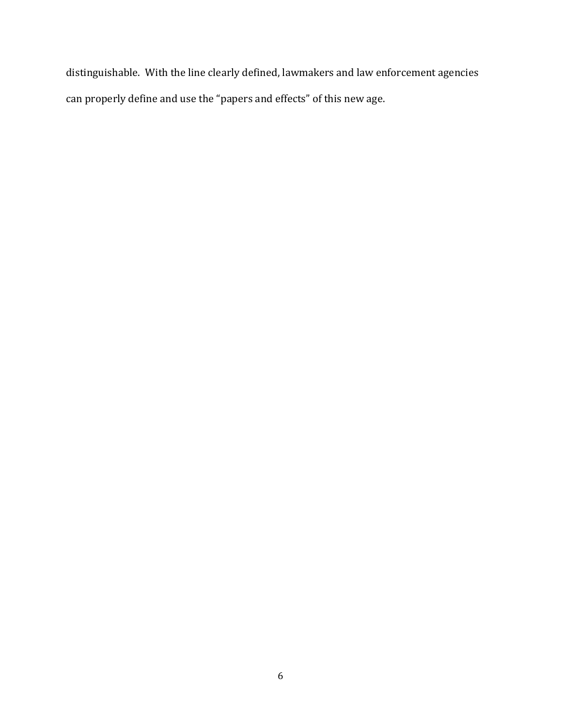distinguishable. With the line clearly defined, lawmakers and law enforcement agencies can properly define and use the "papers and effects" of this new age.